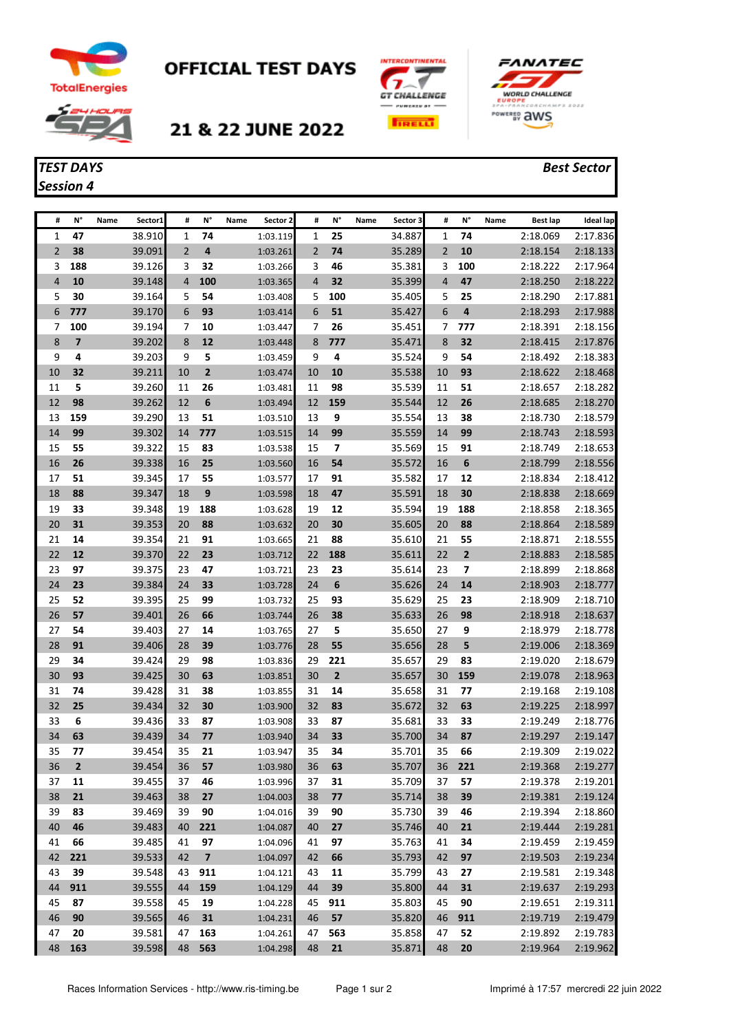





OFFICIAL TEST DAYS



## 21 & 22 JUNE 2022





| #              | N°                      | Name | Sector1          | #              | N°             | Name | Sector 2             | #              | N°           | Name | Sector 3         | #              | N°                      | Name | <b>Best lap</b>      | <b>Ideal lap</b>     |
|----------------|-------------------------|------|------------------|----------------|----------------|------|----------------------|----------------|--------------|------|------------------|----------------|-------------------------|------|----------------------|----------------------|
| 1              | 47                      |      | 38.910           | 1              | 74             |      | 1:03.119             | 1              | 25           |      | 34.887           | 1              | 74                      |      | 2:18.069             | 2:17.836             |
| $\overline{2}$ | 38                      |      | 39.091           | $\overline{2}$ | 4              |      | 1:03.261             | $\overline{2}$ | 74           |      | 35.289           | $\overline{2}$ | 10                      |      | 2:18.154             | 2:18.133             |
| 3              | 188                     |      | 39.126           | 3              | 32             |      | 1:03.266             | 3              | 46           |      | 35.381           | 3              | 100                     |      | 2:18.222             | 2:17.964             |
| 4              | 10                      |      | 39.148           | $\overline{4}$ | 100            |      | 1:03.365             | 4              | 32           |      | 35.399           | $\overline{4}$ | 47                      |      | 2:18.250             | 2:18.222             |
| 5              | 30                      |      | 39.164           | 5              | 54             |      | 1:03.408             | 5              | 100          |      | 35.405           | 5              | 25                      |      | 2:18.290             | 2:17.881             |
| 6              | 777                     |      | 39.170           | 6              | 93             |      | 1:03.414             | 6              | 51           |      | 35.427           | 6              | 4                       |      | 2:18.293             | 2:17.988             |
| 7              | 100                     |      | 39.194           | 7              | 10             |      | 1:03.447             | 7              | 26           |      | 35.451           | 7              | 777                     |      | 2:18.391             | 2:18.156             |
| 8              | $\overline{\mathbf{z}}$ |      | 39.202           | 8              | 12             |      | 1:03.448             | 8              | 777          |      | 35.471           | 8              | 32                      |      | 2:18.415             | 2:17.876             |
| 9              | 4                       |      | 39.203           | 9              | 5              |      | 1:03.459             | 9              | 4            |      | 35.524           | 9              | 54                      |      | 2:18.492             | 2:18.383             |
| 10             | 32                      |      | 39.211           | 10             | $\mathbf{2}$   |      | 1:03.474             | 10             | 10           |      | 35.538           | 10             | 93                      |      | 2:18.622             | 2:18.468             |
| 11             | 5                       |      | 39.260           | 11             | 26             |      | 1:03.481             | 11             | 98           |      | 35.539           | 11             | 51                      |      | 2:18.657             | 2:18.282             |
| 12             | 98                      |      | 39.262           | 12             | 6              |      | 1:03.494             | 12             | 159          |      | 35.544           | 12             | 26                      |      | 2:18.685             | 2:18.270             |
| 13             | 159                     |      | 39.290           | 13             | 51             |      | 1:03.510             | 13             | 9            |      | 35.554           | 13             | 38                      |      | 2:18.730             | 2:18.579             |
| 14             | 99                      |      | 39.302           | 14             | 777            |      | 1:03.515             | 14             | 99           |      | 35.559           | 14             | 99                      |      | 2:18.743             | 2:18.593             |
| 15             | 55                      |      | 39.322           | 15             | 83             |      | 1:03.538             | 15             | 7            |      | 35.569           | 15             | 91                      |      | 2:18.749             | 2:18.653             |
| 16             | 26                      |      | 39.338           | 16             | 25             |      | 1:03.560             | 16             | 54           |      | 35.572           | 16             | 6                       |      | 2:18.799             | 2:18.556             |
| 17             | 51                      |      | 39.345           | 17             | 55             |      | 1:03.577             | 17             | 91           |      | 35.582           | 17             | 12                      |      | 2:18.834             | 2:18.412             |
| 18             | 88                      |      | 39.347           | 18             | 9              |      | 1:03.598             | 18             | 47           |      | 35.591           | 18             | 30                      |      | 2:18.838             | 2:18.669             |
| 19             | 33                      |      | 39.348           | 19             | 188            |      | 1:03.628             | 19             | 12           |      | 35.594           | 19             | 188                     |      | 2:18.858             | 2:18.365             |
| 20             | 31                      |      | 39.353           | 20             | 88             |      | 1:03.632             | 20             | 30           |      | 35.605           | 20             | 88                      |      | 2:18.864             | 2:18.589             |
| 21             | 14                      |      | 39.354           | 21             | 91             |      | 1:03.665             | 21             | 88           |      | 35.610           | 21             | 55                      |      | 2:18.871             | 2:18.555             |
| 22             | 12                      |      | 39.370           | 22             | 23             |      | 1:03.712             | 22             | 188          |      | 35.611           | 22             | $\overline{\mathbf{2}}$ |      | 2:18.883             | 2:18.585             |
| 23             | 97                      |      | 39.375           | 23             | 47             |      | 1:03.721             | 23             | 23           |      | 35.614           | 23             | $\overline{\mathbf{z}}$ |      | 2:18.899             | 2:18.868             |
| 24             | 23                      |      | 39.384           | 24             | 33             |      | 1:03.728             | 24             | 6            |      | 35.626           | 24             | 14                      |      | 2:18.903             | 2:18.777             |
| 25             | 52                      |      | 39.395           | 25             | 99             |      | 1:03.732             | 25             | 93           |      | 35.629           | 25             | 23                      |      | 2:18.909             | 2:18.710             |
| 26             | 57                      |      | 39.401           | 26             | 66             |      | 1:03.744             | 26             | 38           |      | 35.633           | 26             | 98                      |      | 2:18.918             | 2:18.637             |
| 27             | 54                      |      | 39.403           | 27             | 14             |      | 1:03.765             | 27             | 5            |      | 35.650           | 27             | 9                       |      | 2:18.979             | 2:18.778             |
| 28             | 91                      |      | 39.406           | 28             | 39             |      | 1:03.776             | 28             | 55           |      | 35.656           | 28             | 5                       |      | 2:19.006             | 2:18.369             |
| 29             | 34                      |      | 39.424           | 29             | 98             |      | 1:03.836             | 29             | 221          |      | 35.657           | 29             | 83                      |      | 2:19.020             | 2:18.679             |
| 30             | 93                      |      | 39.425           | 30             | 63             |      | 1:03.851             | 30             | $\mathbf{2}$ |      | 35.657           | 30             | 159                     |      | 2:19.078             | 2:18.963             |
| 31             | 74                      |      | 39.428           | 31             | 38             |      | 1:03.855             | 31             | 14           |      | 35.658           | 31             | 77                      |      | 2:19.168             | 2:19.108             |
| 32             | 25                      |      | 39.434           | 32             | 30             |      | 1:03.900             | 32             | 83           |      | 35.672           | 32             | 63                      |      | 2:19.225             | 2:18.997             |
| 33             | 6                       |      | 39.436           | 33             | 87             |      | 1:03.908             | 33             | 87           |      | 35.681           | 33             | 33                      |      | 2:19.249             | 2:18.776             |
| 34             | 63                      |      | 39.439           | 34             | 77             |      | 1:03.940             | 34             | 33           |      | 35.700           | 34             | 87                      |      | 2:19.297             | 2:19.147             |
| 35             | 77                      |      | 39.454<br>39.454 | 35             | 21             |      | 1:03.947             | 35             | 34           |      | 35.701           | 35             | 66                      |      | 2:19.309             | 2:19.022             |
| 36             | 2                       |      |                  | 36             | 57             |      | 1:03.980             | 36             | 63           |      | 35.707           | 36             | <b>221</b>              |      | 2:19.368             | 2:19.277             |
| 37<br>38       | 11                      |      | 39.455           | 37             | 46             |      | 1:03.996             | 37             | 31           |      | 35.709           | 37             | 57                      |      | 2:19.378             | 2:19.201             |
|                | 21                      |      | 39.463           | 38<br>39       | 27             |      | 1:04.003             | 38             | 77           |      | 35.714<br>35.730 | 38             | 39                      |      | 2:19.381             | 2:19.124             |
| 39<br>40       | 83<br>46                |      | 39.469<br>39.483 | 40             | 90<br>221      |      | 1:04.016<br>1:04.087 | 39<br>40       | 90<br>27     |      | 35.746           | 39<br>40       | 46<br>21                |      | 2:19.394<br>2:19.444 | 2:18.860<br>2:19.281 |
| 41             | 66                      |      | 39.485           | 41             | 97             |      | 1:04.096             | 41             | 97           |      | 35.763           | 41             | 34                      |      | 2:19.459             | 2:19.459             |
| 42             | 221                     |      | 39.533           | 42             | $\overline{7}$ |      | 1:04.097             | 42             | 66           |      | 35.793           | 42             | 97                      |      |                      | 2:19.234             |
| 43             | 39                      |      | 39.548           | 43             | 911            |      | 1:04.121             | 43             | 11           |      | 35.799           | 43             | 27                      |      | 2:19.503             | 2:19.348             |
| 44             | 911                     |      | 39.555           | 44             | 159            |      | 1:04.129             | 44             | 39           |      | 35.800           | 44             | 31                      |      | 2:19.581<br>2:19.637 | 2:19.293             |
| 45             | 87                      |      | 39.558           | 45             | 19             |      | 1:04.228             | 45             | 911          |      | 35.803           | 45             | 90                      |      | 2:19.651             | 2:19.311             |
| 46             | 90                      |      | 39.565           | 46             | 31             |      | 1:04.231             | 46             | 57           |      | 35.820           | 46             | 911                     |      | 2:19.719             | 2:19.479             |
| 47             | 20                      |      | 39.581           | 47             | 163            |      | 1:04.261             | 47             | 563          |      | 35.858           | 47             | 52                      |      | 2:19.892             | 2:19.783             |
| 48             | 163                     |      | 39.598           | 48             | 563            |      | 1:04.298             | 48             | 21           |      | 35.871           | 48             | 20                      |      | 2:19.964             | 2:19.962             |
|                |                         |      |                  |                |                |      |                      |                |              |      |                  |                |                         |      |                      |                      |